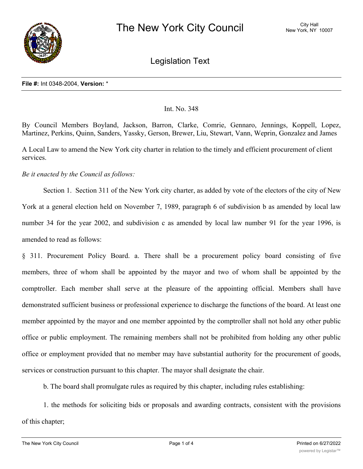

Legislation Text

#### **File #:** Int 0348-2004, **Version:** \*

# Int. No. 348

By Council Members Boyland, Jackson, Barron, Clarke, Comrie, Gennaro, Jennings, Koppell, Lopez, Martinez, Perkins, Quinn, Sanders, Yassky, Gerson, Brewer, Liu, Stewart, Vann, Weprin, Gonzalez and James

A Local Law to amend the New York city charter in relation to the timely and efficient procurement of client services.

# *Be it enacted by the Council as follows:*

Section 1. Section 311 of the New York city charter, as added by vote of the electors of the city of New York at a general election held on November 7, 1989, paragraph 6 of subdivision b as amended by local law number 34 for the year 2002, and subdivision c as amended by local law number 91 for the year 1996, is amended to read as follows:

§ 311. Procurement Policy Board. a. There shall be a procurement policy board consisting of five members, three of whom shall be appointed by the mayor and two of whom shall be appointed by the comptroller. Each member shall serve at the pleasure of the appointing official. Members shall have demonstrated sufficient business or professional experience to discharge the functions of the board. At least one member appointed by the mayor and one member appointed by the comptroller shall not hold any other public office or public employment. The remaining members shall not be prohibited from holding any other public office or employment provided that no member may have substantial authority for the procurement of goods, services or construction pursuant to this chapter. The mayor shall designate the chair.

b. The board shall promulgate rules as required by this chapter, including rules establishing:

1. the methods for soliciting bids or proposals and awarding contracts, consistent with the provisions of this chapter;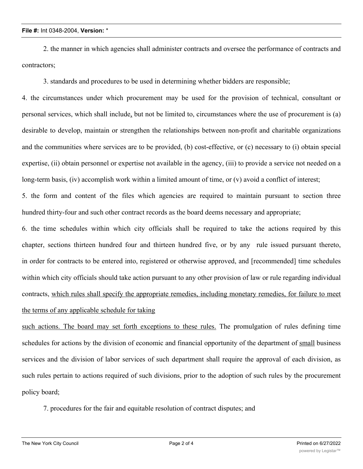## **File #:** Int 0348-2004, **Version:** \*

2. the manner in which agencies shall administer contracts and oversee the performance of contracts and contractors;

3. standards and procedures to be used in determining whether bidders are responsible;

4. the circumstances under which procurement may be used for the provision of technical, consultant or personal services, which shall include, but not be limited to, circumstances where the use of procurement is (a) desirable to develop, maintain or strengthen the relationships between non-profit and charitable organizations and the communities where services are to be provided, (b) cost-effective, or (c) necessary to (i) obtain special expertise, (ii) obtain personnel or expertise not available in the agency, (iii) to provide a service not needed on a long-term basis, (iv) accomplish work within a limited amount of time, or (v) avoid a conflict of interest;

5. the form and content of the files which agencies are required to maintain pursuant to section three hundred thirty-four and such other contract records as the board deems necessary and appropriate;

6. the time schedules within which city officials shall be required to take the actions required by this chapter, sections thirteen hundred four and thirteen hundred five, or by any rule issued pursuant thereto, in order for contracts to be entered into, registered or otherwise approved, and [recommended] time schedules within which city officials should take action pursuant to any other provision of law or rule regarding individual contracts, which rules shall specify the appropriate remedies, including monetary remedies, for failure to meet the terms of any applicable schedule for taking

such actions. The board may set forth exceptions to these rules. The promulgation of rules defining time schedules for actions by the division of economic and financial opportunity of the department of small business services and the division of labor services of such department shall require the approval of each division, as such rules pertain to actions required of such divisions, prior to the adoption of such rules by the procurement policy board;

7. procedures for the fair and equitable resolution of contract disputes; and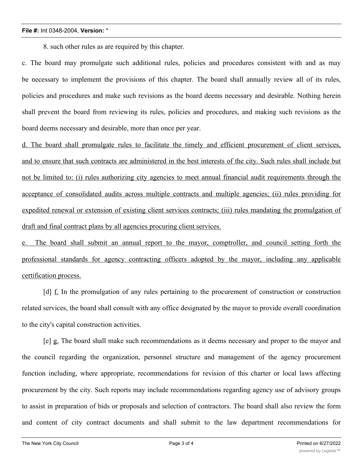### **File #:** Int 0348-2004, **Version:** \*

8. such other rules as are required by this chapter.

c. The board may promulgate such additional rules, policies and procedures consistent with and as may be necessary to implement the provisions of this chapter. The board shall annually review all of its rules, policies and procedures and make such revisions as the board deems necessary and desirable. Nothing herein shall prevent the board from reviewing its rules, policies and procedures, and making such revisions as the board deems necessary and desirable, more than once per year.

d. The board shall promulgate rules to facilitate the timely and efficient procurement of client services, and to ensure that such contracts are administered in the best interests of the city. Such rules shall include but not be limited to: (i) rules authorizing city agencies to meet annual financial audit requirements through the acceptance of consolidated audits across multiple contracts and multiple agencies; (ii) rules providing for expedited renewal or extension of existing client services contracts; (iii) rules mandating the promulgation of draft and final contract plans by all agencies procuring client services.

e. The board shall submit an annual report to the mayor, comptroller, and council setting forth the professional standards for agency contracting officers adopted by the mayor, including any applicable certification process.

[d] f. In the promulgation of any rules pertaining to the procurement of construction or construction related services, the board shall consult with any office designated by the mayor to provide overall coordination to the city's capital construction activities.

[e] g. The board shall make such recommendations as it deems necessary and proper to the mayor and the council regarding the organization, personnel structure and management of the agency procurement function including, where appropriate, recommendations for revision of this charter or local laws affecting procurement by the city. Such reports may include recommendations regarding agency use of advisory groups to assist in preparation of bids or proposals and selection of contractors. The board shall also review the form and content of city contract documents and shall submit to the law department recommendations for